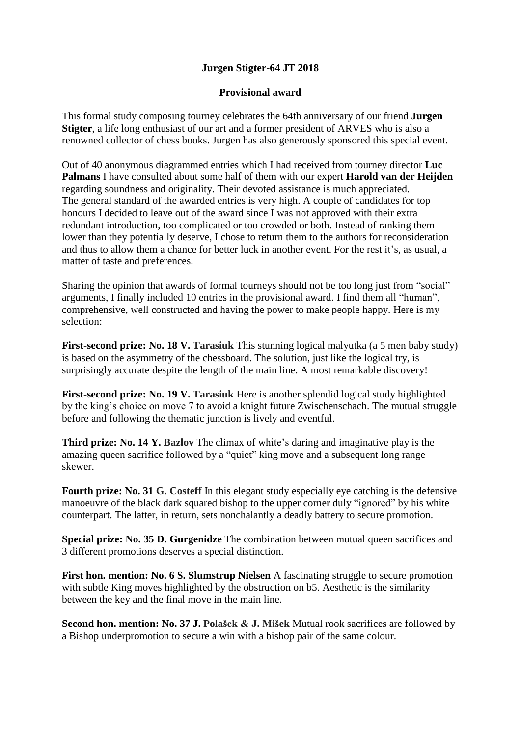## **Jurgen Stigter-64 JT 2018**

## **Provisional award**

This formal study composing tourney celebrates the 64th anniversary of our friend **Jurgen Stigter**, a life long enthusiast of our art and a former president of ARVES who is also a renowned collector of chess books. Jurgen has also generously sponsored this special event.

Out of 40 anonymous diagrammed entries which I had received from tourney director **Luc Palmans** I have consulted about some half of them with our expert **Harold van der Heijden** regarding soundness and originality. Their devoted assistance is much appreciated. The general standard of the awarded entries is very high. A couple of candidates for top honours I decided to leave out of the award since I was not approved with their extra redundant introduction, too complicated or too crowded or both. Instead of ranking them lower than they potentially deserve, I chose to return them to the authors for reconsideration and thus to allow them a chance for better luck in another event. For the rest it's, as usual, a matter of taste and preferences.

Sharing the opinion that awards of formal tourneys should not be too long just from "social" arguments, I finally included 10 entries in the provisional award. I find them all "human", comprehensive, well constructed and having the power to make people happy. Here is my selection:

**First-second prize: No. 18 V. Tarasiuk** This stunning logical malyutka (a 5 men baby study) is based on the asymmetry of the chessboard. The solution, just like the logical try, is surprisingly accurate despite the length of the main line. A most remarkable discovery!

**First-second prize: No. 19 V. Tarasiuk** Here is another splendid logical study highlighted by the king's choice on move 7 to avoid a knight future Zwischenschach. The mutual struggle before and following the thematic junction is lively and eventful.

**Third prize: No. 14 Y. Bazlov** The climax of white's daring and imaginative play is the amazing queen sacrifice followed by a "quiet" king move and a subsequent long range skewer.

**Fourth prize: No. 31 G. Costeff** In this elegant study especially eye catching is the defensive manoeuvre of the black dark squared bishop to the upper corner duly "ignored" by his white counterpart. The latter, in return, sets nonchalantly a deadly battery to secure promotion.

**Special prize: No. 35 D. Gurgenidze** The combination between mutual queen sacrifices and 3 different promotions deserves a special distinction.

**First hon. mention: No. 6 S. Slumstrup Nielsen** A fascinating struggle to secure promotion with subtle King moves highlighted by the obstruction on b5. Aesthetic is the similarity between the key and the final move in the main line.

**Second hon. mention: No. 37 J. Polašek & J. Mišek** Mutual rook sacrifices are followed by a Bishop underpromotion to secure a win with a bishop pair of the same colour.